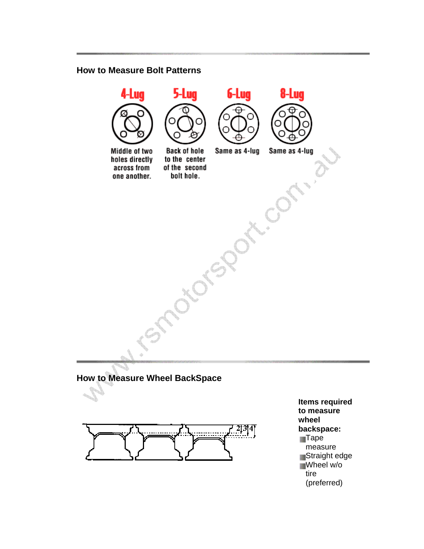#### **How to Measure Bolt Patterns**



# **How to Measure Wheel BackSpace**



**Items required to measure wheel backspace: Tape** measure Straight edge Wheel w/o tire (preferred)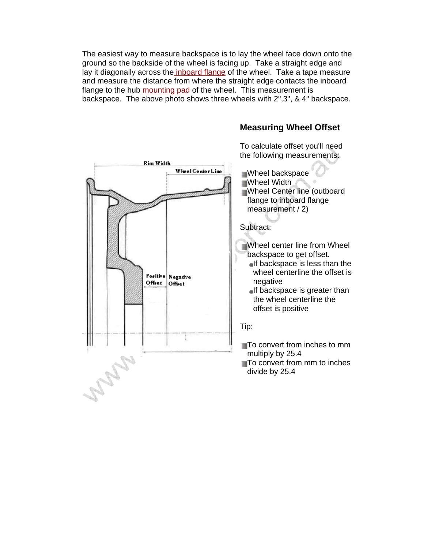The easiest way to measure backspace is to lay the wheel face down onto the ground so the backside of the wheel is facing up. Take a straight edge and lay it diagonally across the inboard flange of the wheel. Take a tape measure and measure the distance from where the straight edge contacts the inboard flange to the hub mounting pad of the wheel. This measurement is backspace. The above photo shows three wheels with 2",3", & 4" backspace.



### **Measuring Wheel Offset**

To calculate offset you'll need the following measurements:

Wheel backspace **Wheel Width** Wheel Center line (outboard flange to inboard flange

- Wheel center line from Wheel backspace to get offset.
	- $\blacksquare$ If backspace is less than the wheel centerline the offset is negative
	- $\blacksquare$ If backspace is greater than the wheel centerline the offset is positive

To convert from inches to mm multiply by 25.4

To convert from mm to inches divide by 25.4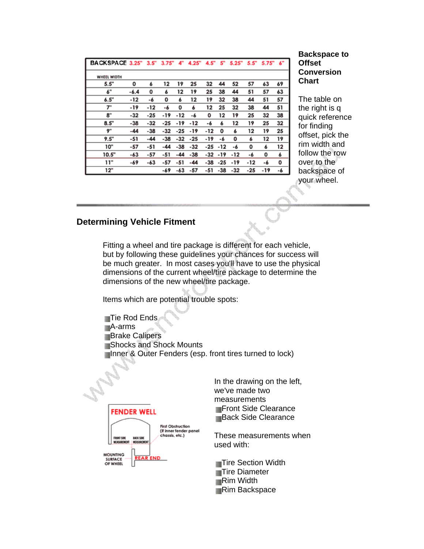| BACKSPACE 3.25" 3.5" 3.75" 4" |        |       |       |       | 4.25" | 4.5"  | 5"  | 5.25" | 5.5"  | 5.75" | 6" |
|-------------------------------|--------|-------|-------|-------|-------|-------|-----|-------|-------|-------|----|
| WHEEL WIDTH                   |        |       |       |       |       |       |     |       |       |       |    |
| 5.5"                          | 0      | 6     | 12    | 19    | 25    | 32    | 44  | 52    | 57    | 63    | 69 |
| 6"                            | $-6.4$ | 0     | 6     | 12    | 19    | 25    | 38  | 44    | 51    | 57    | 63 |
| 6.5"                          | -12    | -6    | 0     | 6     | 12    | 19    | 32  | 38    | 44    | 51    | 57 |
| 7"                            | -19    | -12   | -6    | 0     | 6     | 12    | 25  | 32    | 38    | 44    | 51 |
| 8"                            | $-32$  | $-25$ | -19   | -12   | -6    | О     | 12  | 19    | 25    | 32    | 38 |
| 8.5"                          | $-38$  | $-32$ | $-25$ | -19   | -12   | -6    | 6   | 12    | 19    | 25    | 32 |
| 9"                            | -44    | $-38$ | -32   | -25   | -19   | -12   | 0   | 6     | 12    | 19    | 25 |
| 9.5"                          | -51    | -44   | -38   | -32   | -25   | -19   | -6  | 0     | 6     | 12    | 19 |
| 10"                           | -57    | -51   | -44   | -38   | $-32$ | -25   | -12 | -6    | 0     | 6     | 12 |
| 10.5"                         | -63    | -57   | -51   | $-44$ | $-38$ | $-32$ | -19 | -12   | -6    | 0     | 6  |
| 11"                           | -69    | -63   | -57   | -51   | $-44$ | -38   | -25 | -19   | -12   | -6    | 0  |
| 12"                           |        |       | -69   | -63   | -57   | -51   | -38 | $-32$ | $-25$ | -19   | -6 |

#### **Backspace to Offset Conversion Chart**

The table on the right is q quick reference for finding offset, pick the rim width and follow the row over to the backspace of your wheel.

### **Determining Vehicle Fitment**

Fitting a wheel and tire package is different for each vehicle, but by following these guidelines your chances for success will be much greater. In most cases you'll have to use the physical dimensions of the current wheel/tire package to determine the dimensions of the new wheel/tire package.

Items which are potential trouble spots:

Tie Rod Ends A-arms **Brake Calipers Shocks and Shock Mounts** Inner & Outer Fenders (esp. front tires turned to lock)



**MOUNTING** SURFACE<br>OF WHEEL

In the drawing on the left, we've made two measurements **Front Side Clearance Back Side Clearance** 

These measurements when used with:

**Tire Section Width Tire Diameter** Rim Width **Rim Backspace**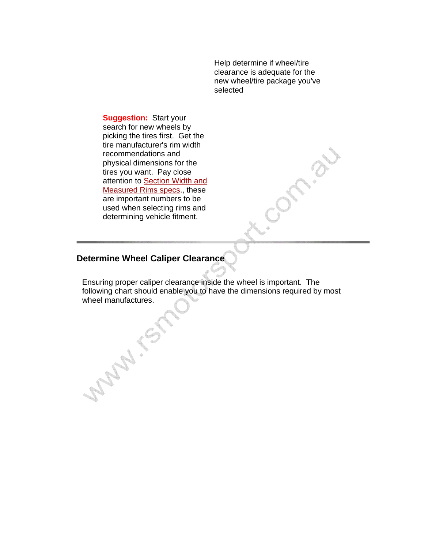Help determine if wheel/tire clearance is adequate for the new wheel/tire package you've selected

**Suggestion:** Start your search for new wheels by picking the tires first. Get the tire manufacturer's rim width recommendations and physical dimensions for the tires you want. Pay close attention to Section Width and Measured Rims specs., these are important numbers to be used when selecting rims and determining vehicle fitment.

## **Determine Wheel Caliper Clearance**

Ensuring proper caliper clearance inside the wheel is important. The following chart should enable you to have the dimensions required by most wheel manufactures.

Supply 1991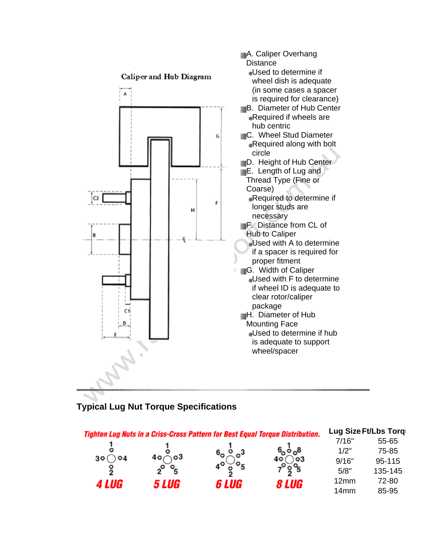

## **Typical Lug Nut Torque Specifications**

|       |                            | Tighten Lug Nuts in a Criss-Cross Pattern for Best Equal Torque Distribution. |                                     |                  | Lug Size Ft/Lbs Torq |
|-------|----------------------------|-------------------------------------------------------------------------------|-------------------------------------|------------------|----------------------|
|       |                            |                                                                               |                                     | 7/16"            | 55-65                |
|       |                            |                                                                               | $6^{\circ}$ $\circ$ $\circ$ $\circ$ | 1/2"             | 75-85                |
| 30 (  | ັ∖o3                       |                                                                               |                                     | 9/16"            | 95-115               |
| ွ     | $\mathcal{P}_{\mathsf{F}}$ |                                                                               | ိဇ္ဇဝိ                              | 5/8"             | 135-145              |
| 4 LUG | <i>5 LUG</i>               | 6 LUG                                                                         | 8 LUG                               | 12mm             | 72-80                |
|       |                            |                                                                               |                                     | 14 <sub>mm</sub> | 85-95                |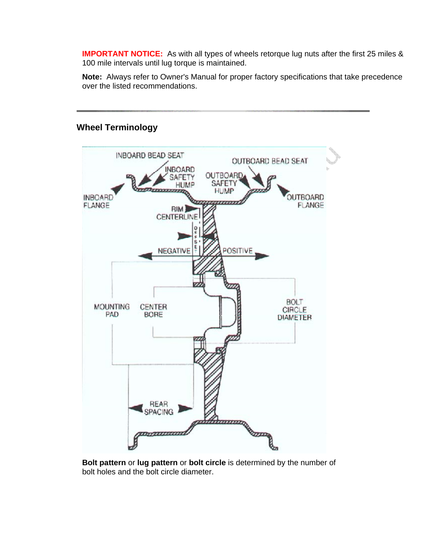**IMPORTANT NOTICE:** As with all types of wheels retorque lug nuts after the first 25 miles & 100 mile intervals until lug torque is maintained.

**Note:** Always refer to Owner's Manual for proper factory specifications that take precedence over the listed recommendations.



### **Wheel Terminology**

**Bolt pattern** or **lug pattern** or **bolt circle** is determined by the number of bolt holes and the bolt circle diameter.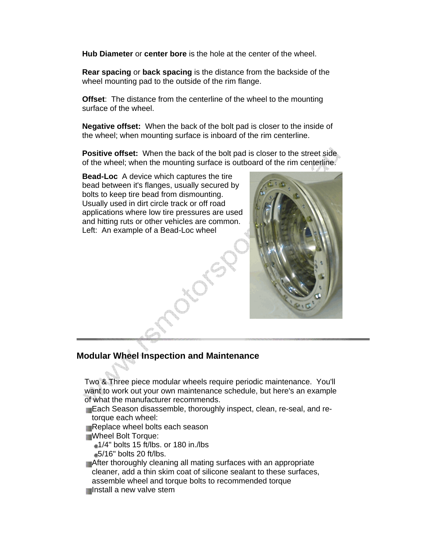**Hub Diameter** or **center bore** is the hole at the center of the wheel.

**Rear spacing** or **back spacing** is the distance from the backside of the wheel mounting pad to the outside of the rim flange.

**Offset**: The distance from the centerline of the wheel to the mounting surface of the wheel.

**Negative offset:** When the back of the bolt pad is closer to the inside of the wheel; when mounting surface is inboard of the rim centerline.

**Positive offset:** When the back of the bolt pad is closer to the street side of the wheel; when the mounting surface is outboard of the rim centerline.

**Bead-Loc** A device which captures the tire bead between it's flanges, usually secured by bolts to keep tire bead from dismounting. Usually used in dirt circle track or off road applications where low tire pressures are used and hitting ruts or other vehicles are common. Left: An example of a Bead-Loc wheel



### **Modular Wheel Inspection and Maintenance**

Two & Three piece modular wheels require periodic maintenance. You'll want to work out your own maintenance schedule, but here's an example of what the manufacturer recommends.

Each Season disassemble, thoroughly inspect, clean, re-seal, and retorque each wheel:

Replace wheel bolts each season

Wheel Bolt Torque:

 $\triangleq$ 1/4" bolts 15 ft/lbs. or 180 in./lbs

 $=5/16"$  bolts 20 ft/lbs.

After thoroughly cleaning all mating surfaces with an appropriate cleaner, add a thin skim coat of silicone sealant to these surfaces, assemble wheel and torque bolts to recommended torque Install a new valve stem